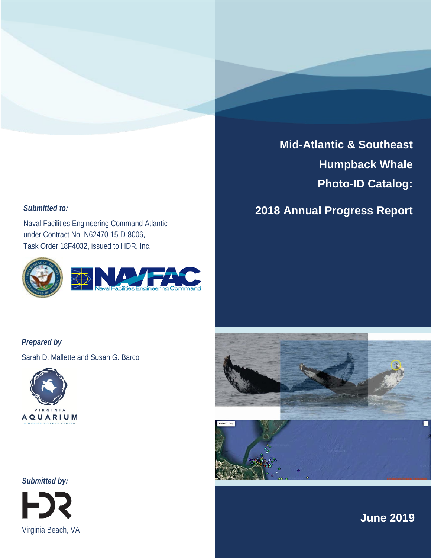### *Submitted to:*

Naval Facilities Engineering Command Atlantic under Contract No. N62470-15-D-8006, Task Order 18F4032, issued to HDR, Inc.



# **Mid-Atlantic & Southeast Humpback Whale Photo-ID Catalog:**

## **2018 Annual Progress Report**

*Prepared by*

Sarah D. Mallette and Susan G. Barco





*Submitted by:* 



**June 2019**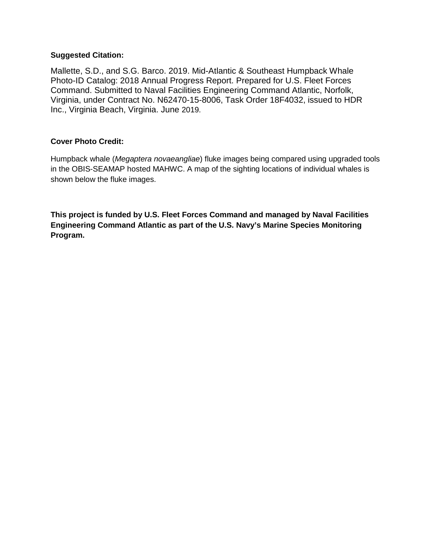#### **Suggested Citation:**

Mallette, S.D., and S.G. Barco. 2019. Mid-Atlantic & Southeast Humpback Whale Photo-ID Catalog: 2018 Annual Progress Report. Prepared for U.S. Fleet Forces Command. Submitted to Naval Facilities Engineering Command Atlantic, Norfolk, Virginia, under Contract No. N62470-15-8006, Task Order 18F4032, issued to HDR Inc., Virginia Beach, Virginia. June 2019.

#### **Cover Photo Credit:**

Humpback whale (*Megaptera novaeangliae*) fluke images being compared using upgraded tools in the OBIS-SEAMAP hosted MAHWC. A map of the sighting locations of individual whales is shown below the fluke images.

**This project is funded by U.S. Fleet Forces Command and managed by Naval Facilities Engineering Command Atlantic as part of the U.S. Navy's Marine Species Monitoring Program.**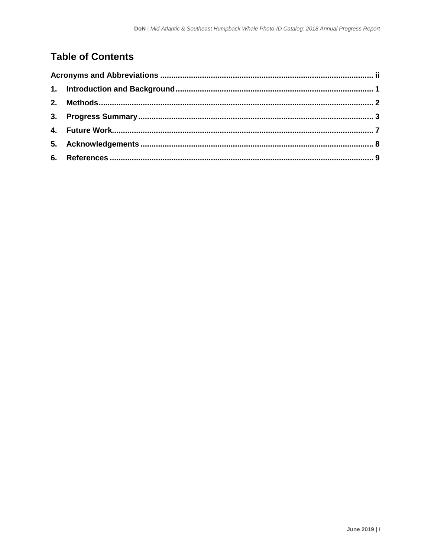## **Table of Contents**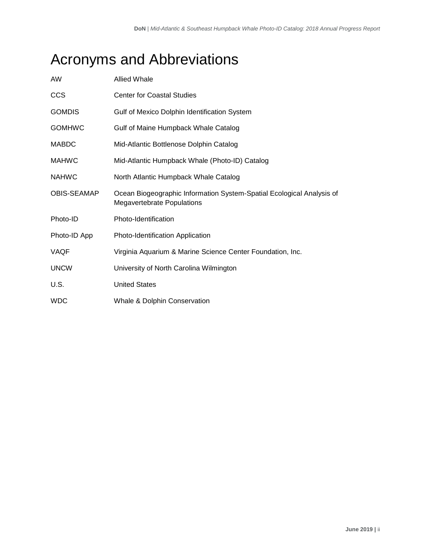# <span id="page-3-0"></span>Acronyms and Abbreviations

| AW            | <b>Allied Whale</b>                                                                                        |
|---------------|------------------------------------------------------------------------------------------------------------|
| <b>CCS</b>    | <b>Center for Coastal Studies</b>                                                                          |
| <b>GOMDIS</b> | Gulf of Mexico Dolphin Identification System                                                               |
| <b>GOMHWC</b> | Gulf of Maine Humpback Whale Catalog                                                                       |
| <b>MABDC</b>  | Mid-Atlantic Bottlenose Dolphin Catalog                                                                    |
| <b>MAHWC</b>  | Mid-Atlantic Humpback Whale (Photo-ID) Catalog                                                             |
| <b>NAHWC</b>  | North Atlantic Humpback Whale Catalog                                                                      |
| OBIS-SEAMAP   | Ocean Biogeographic Information System-Spatial Ecological Analysis of<br><b>Megavertebrate Populations</b> |
| Photo-ID      | Photo-Identification                                                                                       |
| Photo-ID App  | Photo-Identification Application                                                                           |
| VAQF          | Virginia Aquarium & Marine Science Center Foundation, Inc.                                                 |
| <b>UNCW</b>   | University of North Carolina Wilmington                                                                    |
| U.S.          | <b>United States</b>                                                                                       |
| <b>WDC</b>    | Whale & Dolphin Conservation                                                                               |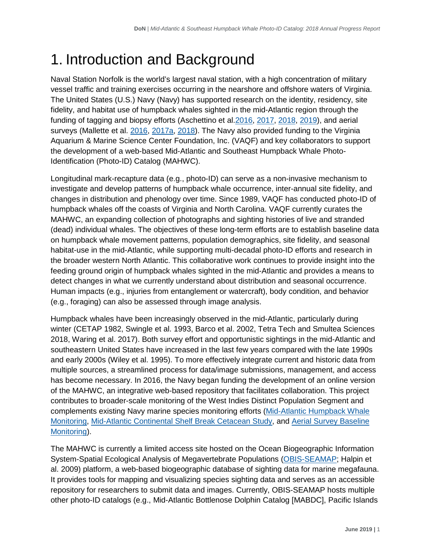# <span id="page-4-0"></span>1. Introduction and Background

Naval Station Norfolk is the world's largest naval station, with a high concentration of military vessel traffic and training exercises occurring in the nearshore and offshore waters of Virginia. The United States (U.S.) Navy (Navy) has supported research on the identity, residency, site fidelity, and habitat use of humpback whales sighted in the mid-Atlantic region through the funding of tagging and biopsy efforts (Aschettino et al[.2016,](https://www.navymarinespeciesmonitoring.us/index.php/download_file/view/1117/) [2017,](https://www.navymarinespeciesmonitoring.us/index.php/download_file/view/1472/) [2018,](https://www.navymarinespeciesmonitoring.us/index.php/download_file/view/1793/) [2019\)](https://www.navymarinespeciesmonitoring.us/index.php/download_file/1967/), and aerial surveys (Mallette et al. [2016,](https://www.navymarinespeciesmonitoring.us/index.php/download_file/view/1468/) [2017a](https://www.navymarinespeciesmonitoring.us/index.php/download_file/view/1483/), [2018\)](https://www.navymarinespeciesmonitoring.us/index.php/download_file/view/1896/). The Navy also provided funding to the Virginia Aquarium & Marine Science Center Foundation, Inc. (VAQF) and key collaborators to support the development of a web-based Mid-Atlantic and Southeast Humpback Whale Photo-Identification (Photo-ID) Catalog (MAHWC).

Longitudinal mark-recapture data (e.g., photo-ID) can serve as a non-invasive mechanism to investigate and develop patterns of humpback whale occurrence, inter-annual site fidelity, and changes in distribution and phenology over time. Since 1989, VAQF has conducted photo-ID of humpback whales off the coasts of Virginia and North Carolina. VAQF currently curates the MAHWC, an expanding collection of photographs and sighting histories of live and stranded (dead) individual whales. The objectives of these long-term efforts are to establish baseline data on humpback whale movement patterns, population demographics, site fidelity, and seasonal habitat-use in the mid-Atlantic, while supporting multi-decadal photo-ID efforts and research in the broader western North Atlantic. This collaborative work continues to provide insight into the feeding ground origin of humpback whales sighted in the mid-Atlantic and provides a means to detect changes in what we currently understand about distribution and seasonal occurrence. Human impacts (e.g., injuries from entanglement or watercraft), body condition, and behavior (e.g., foraging) can also be assessed through image analysis.

Humpback whales have been increasingly observed in the mid-Atlantic, particularly during winter (CETAP 1982, Swingle et al. 1993, Barco et al. 2002, Tetra Tech and Smultea Sciences 2018, Waring et al. 2017). Both survey effort and opportunistic sightings in the mid-Atlantic and southeastern United States have increased in the last few years compared with the late 1990s and early 2000s (Wiley et al. 1995). To more effectively integrate current and historic data from multiple sources, a streamlined process for data/image submissions, management, and access has become necessary. In 2016, the Navy began funding the development of an online version of the MAHWC, an integrative web-based repository that facilitates collaboration. This project contributes to broader-scale monitoring of the West Indies Distinct Population Segment and complements existing Navy marine species monitoring efforts [\(Mid-Atlantic Humpback Whale](https://www.navymarinespeciesmonitoring.us/reading-room/project-profiles/mid-atlantic-humpback-whale-monitoring1/)  [Monitoring,](https://www.navymarinespeciesmonitoring.us/reading-room/project-profiles/mid-atlantic-humpback-whale-monitoring1/) [Mid-Atlantic Continental Shelf Break Cetacean Study,](https://www.navymarinespeciesmonitoring.us/reading-room/project-profiles/mid-atlantic-continental-shelf-break-cetacean-study/) and [Aerial Survey Baseline](https://www.navymarinespeciesmonitoring.us/reading-room/project-profiles/baseline-monitoring-marine-mammals-east-coast-range-complexes-aerial/)  [Monitoring\)](https://www.navymarinespeciesmonitoring.us/reading-room/project-profiles/baseline-monitoring-marine-mammals-east-coast-range-complexes-aerial/).

The MAHWC is currently a limited access site hosted on the Ocean Biogeographic Information System-Spatial Ecological Analysis of Megavertebrate Populations (OBIS-SEAMAP; Halpin et al. 2009) platform, a web-based biogeographic database of sighting data for marine megafauna. It provides tools for mapping and visualizing species sighting data and serves as an accessible repository for researchers to submit data and images. Currently, OBIS-SEAMAP hosts multiple other photo-ID catalogs (e.g., Mid-Atlantic Bottlenose Dolphin Catalog [MABDC], Pacific Islands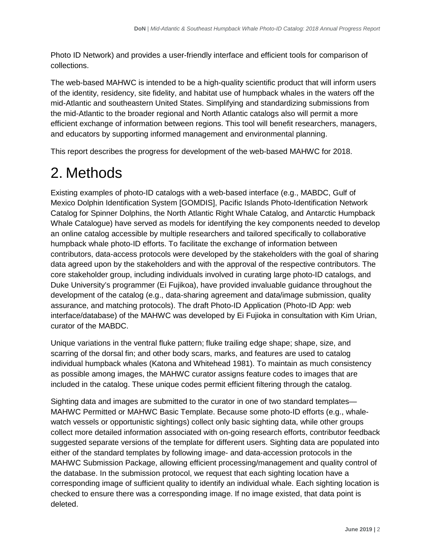Photo ID Network) and provides a user-friendly interface and efficient tools for comparison of collections.

The web-based MAHWC is intended to be a high-quality scientific product that will inform users of the identity, residency, site fidelity, and habitat use of humpback whales in the waters off the mid-Atlantic and southeastern United States. Simplifying and standardizing submissions from the mid-Atlantic to the broader regional and North Atlantic catalogs also will permit a more efficient exchange of information between regions. This tool will benefit researchers, managers, and educators by supporting informed management and environmental planning.

This report describes the progress for development of the web-based MAHWC for 2018.

# <span id="page-5-0"></span>2. Methods

Existing examples of photo-ID catalogs with a web-based interface (e.g., MABDC, Gulf of Mexico Dolphin Identification System [GOMDIS], Pacific Islands Photo-Identification Network Catalog for Spinner Dolphins, the North Atlantic Right Whale Catalog, and Antarctic Humpback Whale Catalogue) have served as models for identifying the key components needed to develop an online catalog accessible by multiple researchers and tailored specifically to collaborative humpback whale photo-ID efforts. To facilitate the exchange of information between contributors, data-access protocols were developed by the stakeholders with the goal of sharing data agreed upon by the stakeholders and with the approval of the respective contributors. The core stakeholder group, including individuals involved in curating large photo-ID catalogs, and Duke University's programmer (Ei Fujikoa), have provided invaluable guidance throughout the development of the catalog (e.g., data-sharing agreement and data/image submission, quality assurance, and matching protocols). The draft Photo-ID Application (Photo-ID App: web interface/database) of the MAHWC was developed by Ei Fujioka in consultation with Kim Urian, curator of the MABDC.

Unique variations in the ventral fluke pattern; fluke trailing edge shape; shape, size, and scarring of the dorsal fin; and other body scars, marks, and features are used to catalog individual humpback whales (Katona and Whitehead 1981). To maintain as much consistency as possible among images, the MAHWC curator assigns feature codes to images that are included in the catalog. These unique codes permit efficient filtering through the catalog.

Sighting data and images are submitted to the curator in one of two standard templates— MAHWC Permitted or MAHWC Basic Template. Because some photo-ID efforts (e.g., whalewatch vessels or opportunistic sightings) collect only basic sighting data, while other groups collect more detailed information associated with on-going research efforts, contributor feedback suggested separate versions of the template for different users. Sighting data are populated into either of the standard templates by following image- and data-accession protocols in the MAHWC Submission Package, allowing efficient processing/management and quality control of the database. In the submission protocol, we request that each sighting location have a corresponding image of sufficient quality to identify an individual whale. Each sighting location is checked to ensure there was a corresponding image. If no image existed, that data point is deleted.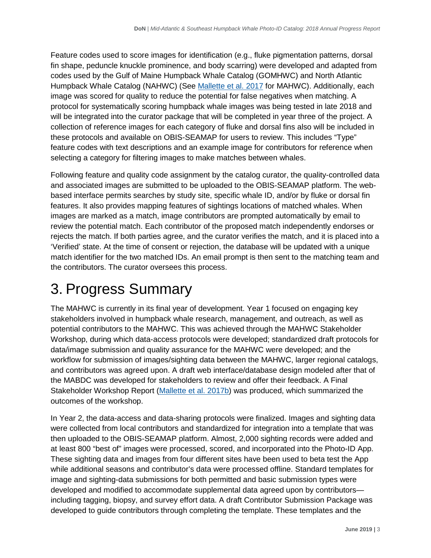Feature codes used to score images for identification (e.g., fluke pigmentation patterns, dorsal fin shape, peduncle knuckle prominence, and body scarring) were developed and adapted from codes used by the Gulf of Maine Humpback Whale Catalog (GOMHWC) and North Atlantic Humpback Whale Catalog (NAHWC) (See [Mallette et al. 2017](https://www.navymarinespeciesmonitoring.us/index.php/download_file/view/1648/506/) for MAHWC). Additionally, each image was scored for quality to reduce the potential for false negatives when matching. A protocol for systematically scoring humpback whale images was being tested in late 2018 and will be integrated into the curator package that will be completed in year three of the project. A collection of reference images for each category of fluke and dorsal fins also will be included in these protocols and available on OBIS-SEAMAP for users to review. This includes "Type" feature codes with text descriptions and an example image for contributors for reference when selecting a category for filtering images to make matches between whales.

Following feature and quality code assignment by the catalog curator, the quality-controlled data and associated images are submitted to be uploaded to the OBIS-SEAMAP platform. The webbased interface permits searches by study site, specific whale ID, and/or by fluke or dorsal fin features. It also provides mapping features of sightings locations of matched whales. When images are marked as a match, image contributors are prompted automatically by email to review the potential match. Each contributor of the proposed match independently endorses or rejects the match. If both parties agree, and the curator verifies the match, and it is placed into a 'Verified' state. At the time of consent or rejection, the database will be updated with a unique match identifier for the two matched IDs. An email prompt is then sent to the matching team and the contributors. The curator oversees this process.

# <span id="page-6-0"></span>3. Progress Summary

The MAHWC is currently in its final year of development. Year 1 focused on engaging key stakeholders involved in humpback whale research, management, and outreach, as well as potential contributors to the MAHWC. This was achieved through the MAHWC Stakeholder Workshop, during which data-access protocols were developed; standardized draft protocols for data/image submission and quality assurance for the MAHWC were developed; and the workflow for submission of images/sighting data between the MAHWC, larger regional catalogs, and contributors was agreed upon. A draft web interface/database design modeled after that of the MABDC was developed for stakeholders to review and offer their feedback. A Final Stakeholder Workshop Report [\(Mallette et al. 2017b\)](https://www.navymarinespeciesmonitoring.us/index.php/download_file/1648/) was produced, which summarized the outcomes of the workshop.

In Year 2, the data-access and data-sharing protocols were finalized. Images and sighting data were collected from local contributors and standardized for integration into a template that was then uploaded to the OBIS-SEAMAP platform. Almost, 2,000 sighting records were added and at least 800 "best of" images were processed, scored, and incorporated into the Photo-ID App. These sighting data and images from four different sites have been used to beta test the App while additional seasons and contributor's data were processed offline. Standard templates for image and sighting-data submissions for both permitted and basic submission types were developed and modified to accommodate supplemental data agreed upon by contributors including tagging, biopsy, and survey effort data. A draft Contributor Submission Package was developed to guide contributors through completing the template. These templates and the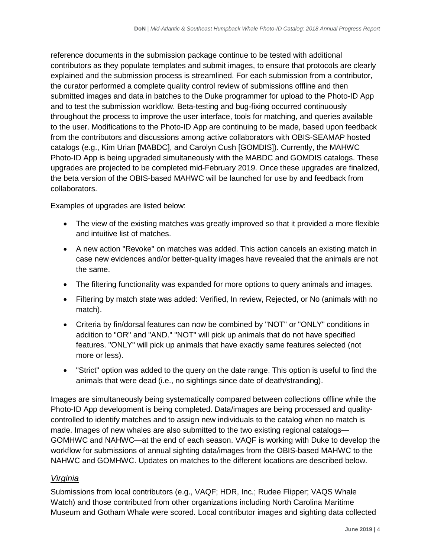reference documents in the submission package continue to be tested with additional contributors as they populate templates and submit images, to ensure that protocols are clearly explained and the submission process is streamlined. For each submission from a contributor, the curator performed a complete quality control review of submissions offline and then submitted images and data in batches to the Duke programmer for upload to the Photo-ID App and to test the submission workflow. Beta-testing and bug-fixing occurred continuously throughout the process to improve the user interface, tools for matching, and queries available to the user. Modifications to the Photo-ID App are continuing to be made, based upon feedback from the contributors and discussions among active collaborators with OBIS-SEAMAP hosted catalogs (e.g., Kim Urian [MABDC], and Carolyn Cush [GOMDIS]). Currently, the MAHWC Photo-ID App is being upgraded simultaneously with the MABDC and GOMDIS catalogs. These upgrades are projected to be completed mid-February 2019. Once these upgrades are finalized, the beta version of the OBIS-based MAHWC will be launched for use by and feedback from collaborators.

Examples of upgrades are listed below:

- The view of the existing matches was greatly improved so that it provided a more flexible and intuitive list of matches.
- A new action "Revoke" on matches was added. This action cancels an existing match in case new evidences and/or better-quality images have revealed that the animals are not the same.
- The filtering functionality was expanded for more options to query animals and images.
- Filtering by match state was added: Verified, In review, Rejected, or No (animals with no match).
- Criteria by fin/dorsal features can now be combined by "NOT" or "ONLY" conditions in addition to "OR" and "AND." "NOT" will pick up animals that do not have specified features. "ONLY" will pick up animals that have exactly same features selected (not more or less).
- "Strict" option was added to the query on the date range. This option is useful to find the animals that were dead (i.e., no sightings since date of death/stranding).

Images are simultaneously being systematically compared between collections offline while the Photo-ID App development is being completed. Data/images are being processed and qualitycontrolled to identify matches and to assign new individuals to the catalog when no match is made. Images of new whales are also submitted to the two existing regional catalogs— GOMHWC and NAHWC—at the end of each season. VAQF is working with Duke to develop the workflow for submissions of annual sighting data/images from the OBIS-based MAHWC to the NAHWC and GOMHWC. Updates on matches to the different locations are described below.

### *Virginia*

Submissions from local contributors (e.g., VAQF; HDR, Inc.; Rudee Flipper; VAQS Whale Watch) and those contributed from other organizations including North Carolina Maritime Museum and Gotham Whale were scored. Local contributor images and sighting data collected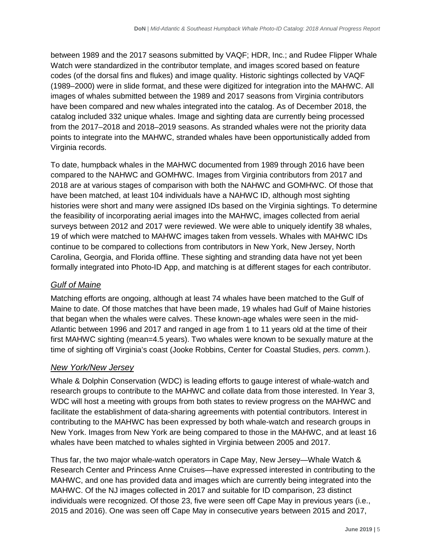between 1989 and the 2017 seasons submitted by VAQF; HDR, Inc.; and Rudee Flipper Whale Watch were standardized in the contributor template, and images scored based on feature codes (of the dorsal fins and flukes) and image quality. Historic sightings collected by VAQF (1989–2000) were in slide format, and these were digitized for integration into the MAHWC. All images of whales submitted between the 1989 and 2017 seasons from Virginia contributors have been compared and new whales integrated into the catalog. As of December 2018, the catalog included 332 unique whales. Image and sighting data are currently being processed from the 2017–2018 and 2018–2019 seasons. As stranded whales were not the priority data points to integrate into the MAHWC, stranded whales have been opportunistically added from Virginia records.

To date, humpback whales in the MAHWC documented from 1989 through 2016 have been compared to the NAHWC and GOMHWC. Images from Virginia contributors from 2017 and 2018 are at various stages of comparison with both the NAHWC and GOMHWC. Of those that have been matched, at least 104 individuals have a NAHWC ID, although most sighting histories were short and many were assigned IDs based on the Virginia sightings. To determine the feasibility of incorporating aerial images into the MAHWC, images collected from aerial surveys between 2012 and 2017 were reviewed. We were able to uniquely identify 38 whales, 19 of which were matched to MAHWC images taken from vessels. Whales with MAHWC IDs continue to be compared to collections from contributors in New York, New Jersey, North Carolina, Georgia, and Florida offline. These sighting and stranding data have not yet been formally integrated into Photo-ID App, and matching is at different stages for each contributor.

### *Gulf of Maine*

Matching efforts are ongoing, although at least 74 whales have been matched to the Gulf of Maine to date. Of those matches that have been made, 19 whales had Gulf of Maine histories that began when the whales were calves. These known-age whales were seen in the mid-Atlantic between 1996 and 2017 and ranged in age from 1 to 11 years old at the time of their first MAHWC sighting (mean=4.5 years). Two whales were known to be sexually mature at the time of sighting off Virginia's coast (Jooke Robbins, Center for Coastal Studies, *pers. comm.*).

### *New York/New Jersey*

Whale & Dolphin Conservation (WDC) is leading efforts to gauge interest of whale-watch and research groups to contribute to the MAHWC and collate data from those interested. In Year 3, WDC will host a meeting with groups from both states to review progress on the MAHWC and facilitate the establishment of data-sharing agreements with potential contributors. Interest in contributing to the MAHWC has been expressed by both whale-watch and research groups in New York. Images from New York are being compared to those in the MAHWC, and at least 16 whales have been matched to whales sighted in Virginia between 2005 and 2017.

Thus far, the two major whale-watch operators in Cape May, New Jersey—Whale Watch & Research Center and Princess Anne Cruises—have expressed interested in contributing to the MAHWC, and one has provided data and images which are currently being integrated into the MAHWC. Of the NJ images collected in 2017 and suitable for ID comparison, 23 distinct individuals were recognized. Of those 23, five were seen off Cape May in previous years (i.e., 2015 and 2016). One was seen off Cape May in consecutive years between 2015 and 2017,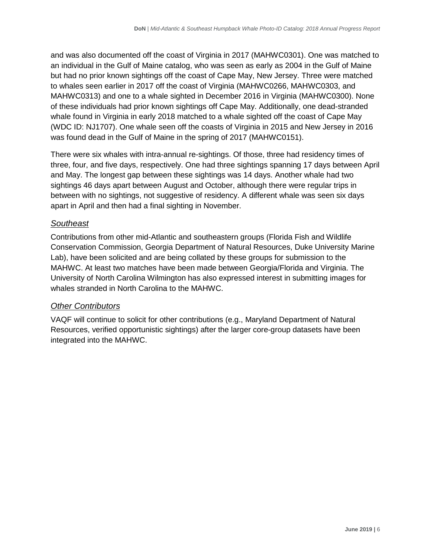and was also documented off the coast of Virginia in 2017 (MAHWC0301). One was matched to an individual in the Gulf of Maine catalog, who was seen as early as 2004 in the Gulf of Maine but had no prior known sightings off the coast of Cape May, New Jersey. Three were matched to whales seen earlier in 2017 off the coast of Virginia (MAHWC0266, MAHWC0303, and MAHWC0313) and one to a whale sighted in December 2016 in Virginia (MAHWC0300). None of these individuals had prior known sightings off Cape May. Additionally, one dead-stranded whale found in Virginia in early 2018 matched to a whale sighted off the coast of Cape May (WDC ID: NJ1707). One whale seen off the coasts of Virginia in 2015 and New Jersey in 2016 was found dead in the Gulf of Maine in the spring of 2017 (MAHWC0151).

There were six whales with intra-annual re-sightings. Of those, three had residency times of three, four, and five days, respectively. One had three sightings spanning 17 days between April and May. The longest gap between these sightings was 14 days. Another whale had two sightings 46 days apart between August and October, although there were regular trips in between with no sightings, not suggestive of residency. A different whale was seen six days apart in April and then had a final sighting in November.

### *Southeast*

Contributions from other mid-Atlantic and southeastern groups (Florida Fish and Wildlife Conservation Commission, Georgia Department of Natural Resources, Duke University Marine Lab), have been solicited and are being collated by these groups for submission to the MAHWC. At least two matches have been made between Georgia/Florida and Virginia. The University of North Carolina Wilmington has also expressed interest in submitting images for whales stranded in North Carolina to the MAHWC.

### *Other Contributors*

VAQF will continue to solicit for other contributions (e.g., Maryland Department of Natural Resources, verified opportunistic sightings) after the larger core-group datasets have been integrated into the MAHWC.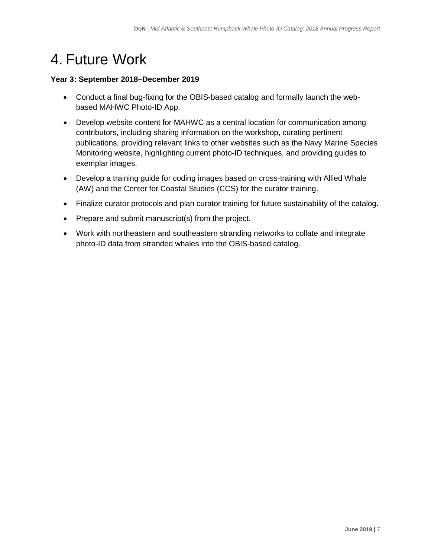# <span id="page-10-0"></span>4. Future Work

### **Year 3: September 2018–December 2019**

- Conduct a final bug-fixing for the OBIS-based catalog and formally launch the webbased MAHWC Photo-ID App.
- Develop website content for MAHWC as a central location for communication among contributors, including sharing information on the workshop, curating pertinent publications, providing relevant links to other websites such as the Navy Marine Species Monitoring website, highlighting current photo-ID techniques, and providing guides to exemplar images.
- Develop a training guide for coding images based on cross-training with Allied Whale (AW) and the Center for Coastal Studies (CCS) for the curator training.
- Finalize curator protocols and plan curator training for future sustainability of the catalog.
- Prepare and submit manuscript(s) from the project.
- Work with northeastern and southeastern stranding networks to collate and integrate photo-ID data from stranded whales into the OBIS-based catalog.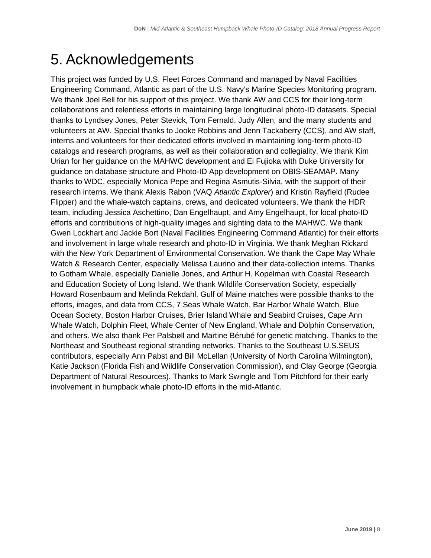# <span id="page-11-0"></span>5. Acknowledgements

This project was funded by U.S. Fleet Forces Command and managed by Naval Facilities Engineering Command, Atlantic as part of the U.S. Navy's Marine Species Monitoring program. We thank Joel Bell for his support of this project. We thank AW and CCS for their long-term collaborations and relentless efforts in maintaining large longitudinal photo-ID datasets. Special thanks to Lyndsey Jones, Peter Stevick, Tom Fernald, Judy Allen, and the many students and volunteers at AW. Special thanks to Jooke Robbins and Jenn Tackaberry (CCS), and AW staff, interns and volunteers for their dedicated efforts involved in maintaining long-term photo-ID catalogs and research programs, as well as their collaboration and collegiality. We thank Kim Urian for her guidance on the MAHWC development and Ei Fujioka with Duke University for guidance on database structure and Photo-ID App development on OBIS-SEAMAP. Many thanks to WDC, especially Monica Pepe and Regina Asmutis-Silvia, with the support of their research interns. We thank Alexis Rabon (VAQ *Atlantic Explorer*) and Kristin Rayfield (Rudee Flipper) and the whale-watch captains, crews, and dedicated volunteers. We thank the HDR team, including Jessica Aschettino, Dan Engelhaupt, and Amy Engelhaupt, for local photo-ID efforts and contributions of high-quality images and sighting data to the MAHWC. We thank Gwen Lockhart and Jackie Bort (Naval Facilities Engineering Command Atlantic) for their efforts and involvement in large whale research and photo-ID in Virginia. We thank Meghan Rickard with the New York Department of Environmental Conservation. We thank the Cape May Whale Watch & Research Center, especially Melissa Laurino and their data-collection interns. Thanks to Gotham Whale, especially Danielle Jones, and Arthur H. Kopelman with Coastal Research and Education Society of Long Island. We thank Wildlife Conservation Society, especially Howard Rosenbaum and Melinda Rekdahl. Gulf of Maine matches were possible thanks to the efforts, images, and data from CCS, 7 Seas Whale Watch, Bar Harbor Whale Watch, Blue Ocean Society, Boston Harbor Cruises, Brier Island Whale and Seabird Cruises, Cape Ann Whale Watch, Dolphin Fleet, Whale Center of New England, Whale and Dolphin Conservation, and others. We also thank Per Palsbøll and Martine Bérubé for genetic matching. Thanks to the Northeast and Southeast regional stranding networks. Thanks to the Southeast U.S.SEUS contributors, especially Ann Pabst and Bill McLellan (University of North Carolina Wilmington), Katie Jackson (Florida Fish and Wildlife Conservation Commission), and Clay George (Georgia Department of Natural Resources). Thanks to Mark Swingle and Tom Pitchford for their early involvement in humpback whale photo-ID efforts in the mid-Atlantic.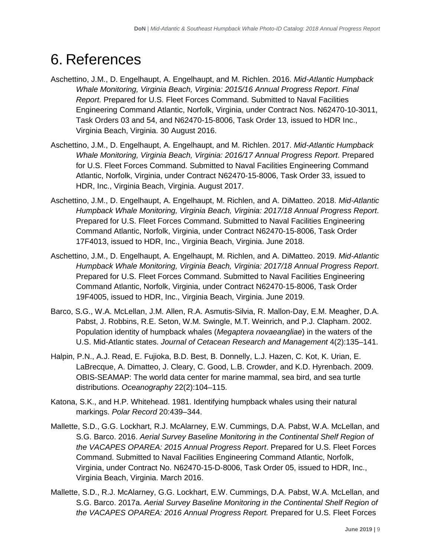# <span id="page-12-0"></span>6. References

- Aschettino, J.M., D. Engelhaupt, A. Engelhaupt, and M. Richlen. 2016. *Mid-Atlantic Humpback Whale Monitoring, Virginia Beach, Virginia: 2015/16 Annual Progress Report*. *Final Report.* Prepared for U.S. Fleet Forces Command. Submitted to Naval Facilities Engineering Command Atlantic, Norfolk, Virginia, under Contract Nos. N62470-10-3011, Task Orders 03 and 54, and N62470-15-8006, Task Order 13, issued to HDR Inc., Virginia Beach, Virginia. 30 August 2016.
- Aschettino, J.M., D. Engelhaupt, A. Engelhaupt, and M. Richlen. 2017. *Mid-Atlantic Humpback Whale Monitoring, Virginia Beach, Virginia: 2016/17 Annual Progress Report*. Prepared for U.S. Fleet Forces Command. Submitted to Naval Facilities Engineering Command Atlantic, Norfolk, Virginia, under Contract N62470-15-8006, Task Order 33, issued to HDR, Inc., Virginia Beach, Virginia. August 2017.
- Aschettino, J.M., D. Engelhaupt, A. Engelhaupt, M. Richlen, and A. DiMatteo. 2018. *Mid-Atlantic Humpback Whale Monitoring, Virginia Beach, Virginia: 2017/18 Annual Progress Report*. Prepared for U.S. Fleet Forces Command. Submitted to Naval Facilities Engineering Command Atlantic, Norfolk, Virginia, under Contract N62470-15-8006, Task Order 17F4013, issued to HDR, Inc., Virginia Beach, Virginia. June 2018.
- Aschettino, J.M., D. Engelhaupt, A. Engelhaupt, M. Richlen, and A. DiMatteo. 2019. *Mid-Atlantic Humpback Whale Monitoring, Virginia Beach, Virginia: 2017/18 Annual Progress Report*. Prepared for U.S. Fleet Forces Command. Submitted to Naval Facilities Engineering Command Atlantic, Norfolk, Virginia, under Contract N62470-15-8006, Task Order 19F4005, issued to HDR, Inc., Virginia Beach, Virginia. June 2019.
- Barco, S.G., W.A. McLellan, J.M. Allen, R.A. Asmutis-Silvia, R. Mallon-Day, E.M. Meagher, D.A. Pabst, J. Robbins, R.E. Seton, W.M. Swingle, M.T. Weinrich, and P.J. Clapham. 2002. Population identity of humpback whales (*Megaptera novaeangliae*) in the waters of the U.S. Mid-Atlantic states. *Journal of Cetacean Research and Management* 4(2):135–141.
- [Halpin, P.N., A.J. Read, E. Fujioka, B.D. Best, B. Donnelly, L.J. Hazen, C. Kot, K. Urian, E.](http://www.tos.org/oceanography/article/obis-seamap-the-world-data-center-for-marine-mammal-sea-bird-and-sea-turtle)  [LaBrecque, A. Dimatteo, J. Cleary, C. Good, L.B. Crowder, and K.D. Hyrenbach. 2009.](http://www.tos.org/oceanography/article/obis-seamap-the-world-data-center-for-marine-mammal-sea-bird-and-sea-turtle)  [OBIS-SEAMAP: The world data center for marine mammal, sea bird, and sea turtle](http://www.tos.org/oceanography/article/obis-seamap-the-world-data-center-for-marine-mammal-sea-bird-and-sea-turtle)  distributions. *Oceanography* [22\(2\):104–115.](http://www.tos.org/oceanography/article/obis-seamap-the-world-data-center-for-marine-mammal-sea-bird-and-sea-turtle)
- Katona, S.K., and H.P. Whitehead. 1981. Identifying humpback whales using their natural markings. *Polar Record* 20:439–344.
- Mallette, S.D., G.G. Lockhart, R.J. McAlarney, E.W. Cummings, D.A. Pabst, W.A. McLellan, and S.G. Barco. 2016. *Aerial Survey Baseline Monitoring in the Continental Shelf Region of the VACAPES OPAREA: 2015 Annual Progress Report*. Prepared for U.S. Fleet Forces Command. Submitted to Naval Facilities Engineering Command Atlantic, Norfolk, Virginia, under Contract No. N62470-15-D-8006, Task Order 05, issued to HDR, Inc., Virginia Beach, Virginia. March 2016.
- Mallette, S.D., R.J. McAlarney, G.G. Lockhart, E.W. Cummings, D.A. Pabst, W.A. McLellan, and S.G. Barco. 2017a. *Aerial Survey Baseline Monitoring in the Continental Shelf Region of the VACAPES OPAREA: 2016 Annual Progress Report.* Prepared for U.S. Fleet Forces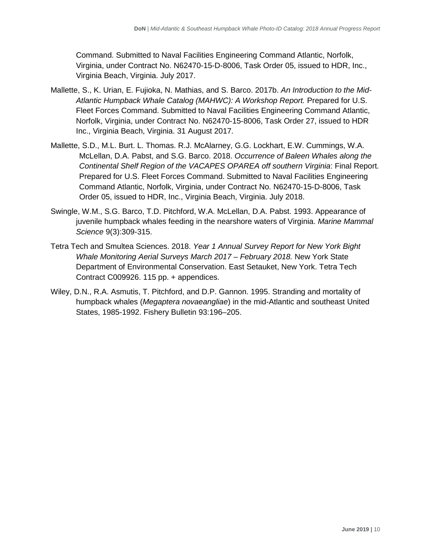Command. Submitted to Naval Facilities Engineering Command Atlantic, Norfolk, Virginia, under Contract No. N62470-15-D-8006, Task Order 05, issued to HDR, Inc., Virginia Beach, Virginia. July 2017.

- Mallette, S., K. Urian, E. Fujioka, N. Mathias, and S. Barco. 2017b. *An Introduction to the Mid-Atlantic Humpback Whale Catalog (MAHWC): A Workshop Report.* Prepared for U.S. Fleet Forces Command. Submitted to Naval Facilities Engineering Command Atlantic, Norfolk, Virginia, under Contract No. N62470-15-8006, Task Order 27, issued to HDR Inc., Virginia Beach, Virginia. 31 August 2017.
- Mallette, S.D., M.L. Burt. L. Thomas. R.J. McAlarney, G.G. Lockhart, E.W. Cummings, W.A. McLellan, D.A. Pabst, and S.G. Barco. 2018. *Occurrence of Baleen Whales along the Continental Shelf Region of the VACAPES OPAREA off southern Virginia*: Final Report*.*  Prepared for U.S. Fleet Forces Command. Submitted to Naval Facilities Engineering Command Atlantic, Norfolk, Virginia, under Contract No. N62470-15-D-8006, Task Order 05, issued to HDR, Inc., Virginia Beach, Virginia. July 2018.
- Swingle, W.M., S.G. Barco, T.D. Pitchford, W.A. McLellan, D.A. Pabst. 1993. Appearance of juvenile humpback whales feeding in the nearshore waters of Virginia. *Marine Mammal Science* 9(3):309-315.
- Tetra Tech and Smultea Sciences. 2018. *Year 1 Annual Survey Report for New York Bight Whale Monitoring Aerial Surveys March 2017 – February 2018.* New York State Department of Environmental Conservation. East Setauket, New York. Tetra Tech Contract C009926. 115 pp. + appendices.
- Wiley, D.N., R.A. Asmutis, T. Pitchford, and D.P. Gannon. 1995. Stranding and mortality of humpback whales (*Megaptera novaeangliae*) in the mid-Atlantic and southeast United States, 1985-1992. Fishery Bulletin 93:196–205.